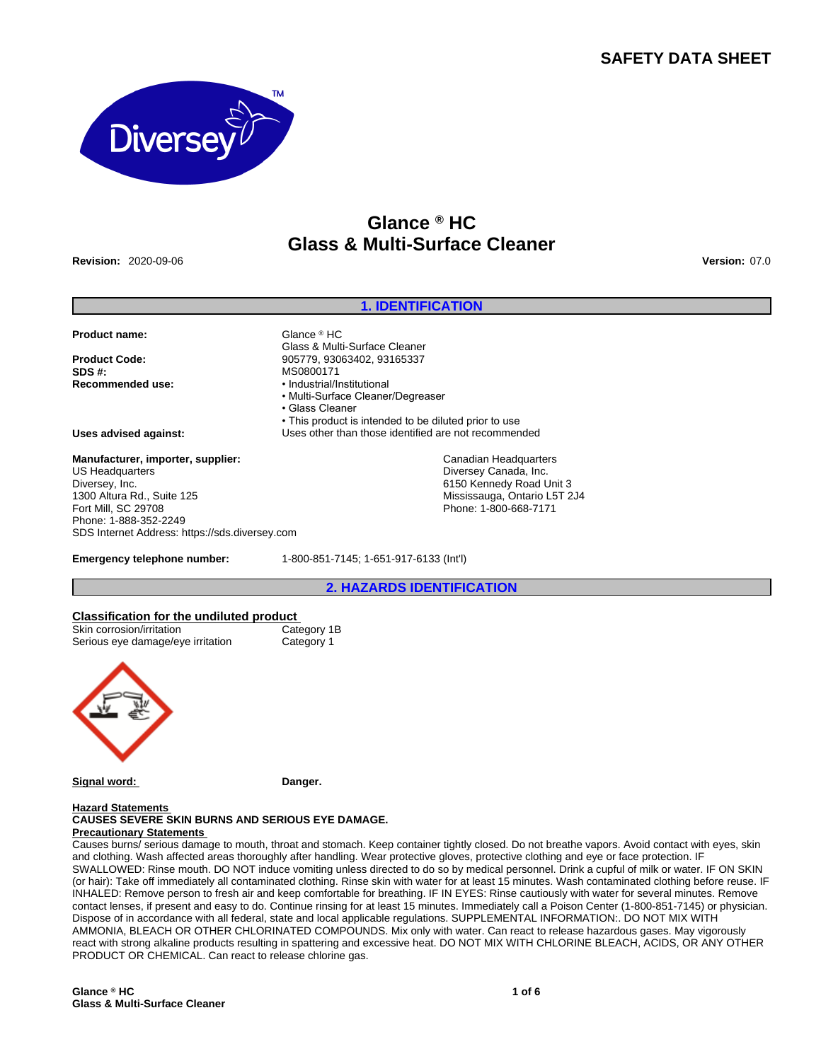# **SAFETY DATA SHEET**



# **Glance ® HC Glass & Multi-Surface Cleaner**

**Revision:** 2020-09-06 **Version:** 07.0

### **1. IDENTIFICATION**

**Product name:** Glance ® HC

**SDS #:** MS0800171

Glass & Multi-Surface Cleaner **Product Code:** 905779, 93063402, 93165337 **Recommended use:** • Industrial/Institutional

- Multi-Surface Cleaner/Degreaser
- Glass Cleaner

• This product is intended to be diluted prior to use

**Uses advised against:** Uses other than those identified are not recommended

Canadian Headquarters Diversey Canada, Inc. 6150 Kennedy Road Unit 3 Mississauga, Ontario L5T 2J4 Phone: 1-800-668-7171

**Manufacturer, importer, supplier:** US Headquarters Diversey, Inc. 1300 Altura Rd., Suite 125 Fort Mill, SC 29708 Phone: 1-888-352-2249 SDS Internet Address: https://sds.diversey.com

**Emergency telephone number:** 1-800-851-7145; 1-651-917-6133 (Int'l)

**2. HAZARDS IDENTIFICATION**

# **Classification for the undiluted product**

| Skin corrosion/irritation         | Category 1B |
|-----------------------------------|-------------|
| Serious eye damage/eye irritation | Category 1  |



Signal word: **Danger.** 

# **Hazard Statements**

#### **CAUSES SEVERE SKIN BURNS AND SERIOUS EYE DAMAGE. Precautionary Statements**

Causes burns/ serious damage to mouth, throat and stomach. Keep container tightly closed. Do not breathe vapors. Avoid contact with eyes, skin and clothing. Wash affected areas thoroughly after handling. Wear protective gloves, protective clothing and eye or face protection. IF SWALLOWED: Rinse mouth. DO NOT induce vomiting unless directed to do so by medical personnel. Drink a cupful of milk or water. IF ON SKIN (or hair): Take off immediately all contaminated clothing. Rinse skin with water for at least 15 minutes. Wash contaminated clothing before reuse. IF INHALED: Remove person to fresh air and keep comfortable for breathing. IF IN EYES: Rinse cautiously with water for several minutes. Remove contact lenses, if present and easy to do. Continue rinsing for at least 15 minutes. Immediately call a Poison Center (1-800-851-7145) or physician. Dispose of in accordance with all federal, state and local applicable regulations. SUPPLEMENTAL INFORMATION:. DO NOT MIX WITH AMMONIA, BLEACH OR OTHER CHLORINATED COMPOUNDS. Mix only with water. Can react to release hazardous gases. May vigorously react with strong alkaline products resulting in spattering and excessive heat. DO NOT MIX WITH CHLORINE BLEACH, ACIDS, OR ANY OTHER PRODUCT OR CHEMICAL. Can react to release chlorine gas.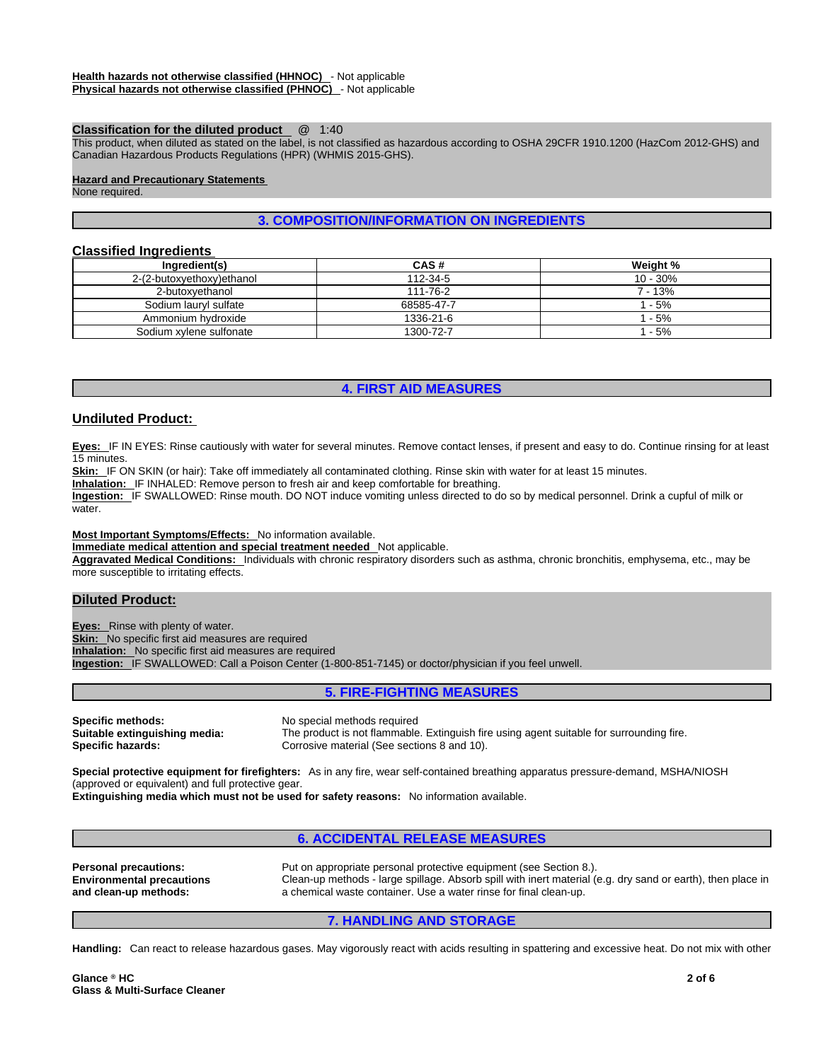#### **Classification for the diluted product** @ 1:40

This product, when diluted as stated on the label, is not classified as hazardous according to OSHA 29CFR 1910.1200 (HazCom 2012-GHS) and Canadian Hazardous Products Regulations (HPR) (WHMIS 2015-GHS).

#### **Hazard and Precautionary Statements**

None required.

# **3. COMPOSITION/INFORMATION ON INGREDIENTS**

# **Classified Ingredients**

| Ingredient(s)             | CAS#       | Weight %   |
|---------------------------|------------|------------|
| 2-(2-butoxyethoxy)ethanol | 112-34-5   | $10 - 30%$ |
| 2-butoxvethanol           | 111-76-2   | 7 - 13%    |
| Sodium lauryl sulfate     | 68585-47-7 | 1 - 5%     |
| Ammonium hydroxide        | 1336-21-6  | 1 - 5%     |
| Sodium xylene sulfonate   | 1300-72-7  | $1 - 5%$   |

### **4. FIRST AID MEASURES**

# **Undiluted Product:**

**Eyes:** IF IN EYES: Rinse cautiously with water for several minutes. Remove contact lenses, if present and easy to do. Continue rinsing for at least 15 minutes.

Skin: IF ON SKIN (or hair): Take off immediately all contaminated clothing. Rinse skin with water for at least 15 minutes.

**Inhalation:** IF INHALED: Remove person to fresh air and keep comfortable for breathing.

**Ingestion:** IF SWALLOWED: Rinse mouth. DO NOT induce vomiting unless directed to do so by medical personnel. Drink a cupful of milk or water.

**Most Important Symptoms/Effects:** No information available.

**Immediate medical attention and special treatment needed** Not applicable.

**Aggravated Medical Conditions:** Individuals with chronic respiratory disorders such as asthma, chronic bronchitis, emphysema, etc., may be more susceptible to irritating effects.

# **Diluted Product:**

**Eyes:** Rinse with plenty of water. **Skin:** No specific first aid measures are required **Inhalation:** No specific first aid measures are required **Ingestion:** IF SWALLOWED: Call a Poison Center (1-800-851-7145) or doctor/physician if you feel unwell.

# **5. FIRE-FIGHTING MEASURES**

**Specific methods:** No special methods required **Suitable extinguishing media:** The product is not flammable. Extinguish fire using agent suitable for surrounding fire. **Specific hazards: Corrosive material (See sections 8 and 10).** Corrosive material (See sections 8 and 10).

**Special protective equipment for firefighters:** As in any fire, wear self-contained breathing apparatus pressure-demand, MSHA/NIOSH (approved or equivalent) and full protective gear.

**Extinguishing media which must not be used for safety reasons:** No information available.

# **6. ACCIDENTAL RELEASE MEASURES**

**Personal precautions:** Put on appropriate personal protective equipment (see Section 8.). **Environmental precautions and clean-up methods:**  Clean-up methods - large spillage. Absorb spill with inert material (e.g. dry sand or earth), then place in a chemical waste container. Use a water rinse for final clean-up.

# **7. HANDLING AND STORAGE**

**Handling:** Can react to release hazardous gases. May vigorously react with acids resulting in spattering and excessive heat. Do not mix with other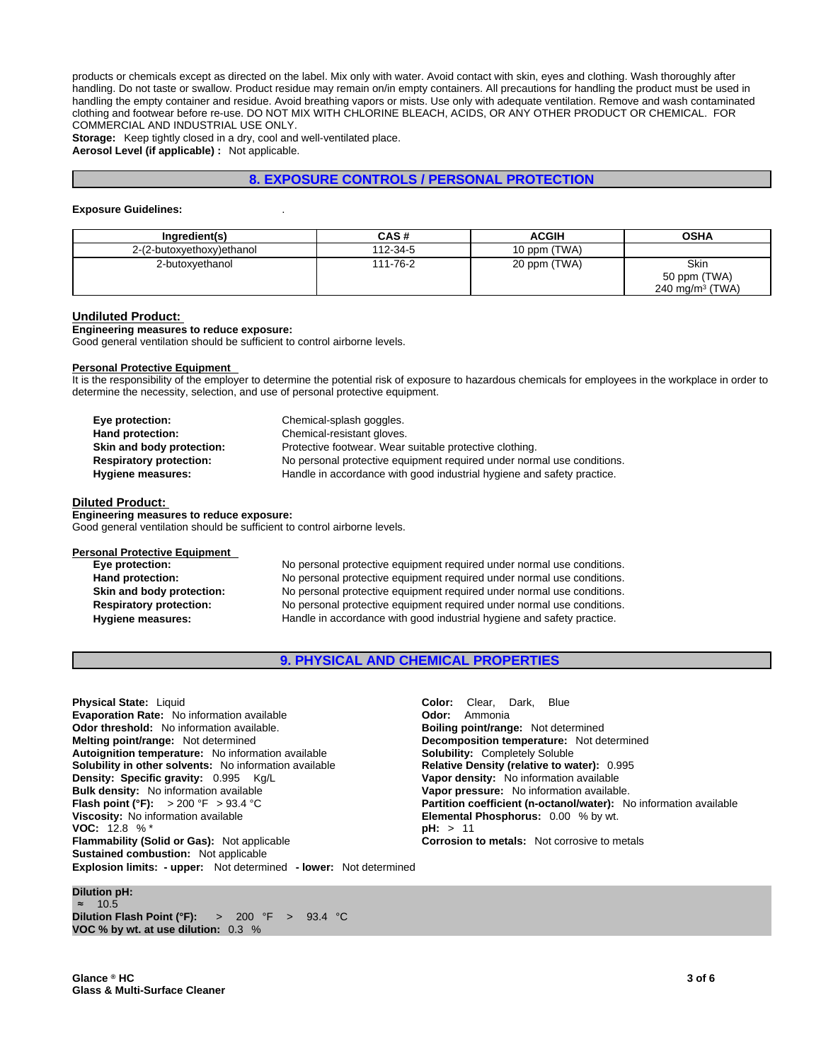products or chemicals except as directed on the label. Mix only with water. Avoid contact with skin, eyes and clothing. Wash thoroughly after handling. Do not taste or swallow. Product residue may remain on/in empty containers. All precautions for handling the product must be used in handling the empty container and residue. Avoid breathing vapors or mists. Use only with adequate ventilation. Remove and wash contaminated clothing and footwear before re-use. DO NOT MIX WITH CHLORINE BLEACH, ACIDS, OR ANY OTHER PRODUCT OR CHEMICAL. FOR COMMERCIAL AND INDUSTRIAL USE ONLY.

**Storage:** Keep tightly closed in a dry, cool and well-ventilated place. **Aerosol Level (if applicable) :** Not applicable.

# **8. EXPOSURE CONTROLS / PERSONAL PROTECTION**

#### **Exposure Guidelines:** .

| Ingredient(s)             | CAS#     | <b>ACGIH</b> | <b>OSHA</b>        |
|---------------------------|----------|--------------|--------------------|
| 2-(2-butoxyethoxy)ethanol | 112-34-5 | 10 ppm (TWA) |                    |
| 2-butoxvethanol           | 111-76-2 | 20 ppm (TWA) | Skin               |
|                           |          |              | 50 ppm (TWA)       |
|                           |          |              | 240 mg/m $3$ (TWA) |

#### **Undiluted Product:**

**Engineering measures to reduce exposure:**

Good general ventilation should be sufficient to control airborne levels.

### **Personal Protective Equipment**

It is the responsibility of the employer to determine the potential risk of exposure to hazardous chemicals for employees in the workplace in order to determine the necessity, selection, and use of personal protective equipment.

| Eye protection:                | Chemical-splash goggles.                                               |
|--------------------------------|------------------------------------------------------------------------|
| Hand protection:               | Chemical-resistant gloves.                                             |
| Skin and body protection:      | Protective footwear. Wear suitable protective clothing.                |
| <b>Respiratory protection:</b> | No personal protective equipment required under normal use conditions. |
| Hygiene measures:              | Handle in accordance with good industrial hygiene and safety practice. |

#### **Diluted Product:**

**Engineering measures to reduce exposure:** Good general ventilation should be sufficient to control airborne levels.

#### **Personal Protective Equipment**

**Eye protection:** No personal protective equipment required under normal use conditions. **Hand protection:** No personal protective equipment required under normal use conditions. **Skin and body protection:** No personal protective equipment required under normal use conditions. **Respiratory protection:** No personal protective equipment required under normal use conditions. **Hygiene measures:** Handle in accordance with good industrial hygiene and safety practice.

**9. PHYSICAL AND CHEMICAL PROPERTIES**

**Explosion limits: - upper:** Not determined **- lower:** Not determined **Physical State:** Liquid **Color: Clear, Dark, Blue Color: Clear, Dark, Blue Color: Clear, Dark, Blue Color: Ammonia Evaporation Rate:** No information available **Odor threshold:** No information available. **Boiling point/range:** Not determined **Melting point/range:** Not determined **Decomposition temperature:** Not determined Autoignition temperature: No information available **Solubility:** Completely Soluble **Solubility** in other solvents: No information available **Solubility: Completely Soluble Solubility** in other solvents: No information a **Solubility in other solvents: No information available Density: Specific gravity:** 0.995 Kg/L **Vapor density:** No information available **Bulk density:** No information available **Vapor pressure:** No information available.<br> **Flash point (°F):** > 200 °F > 93.4 °C **Partition coefficient (n-octanol/water):** No **Viscosity:** No information available **Elemental Phosphorus:** 0.00 % by wt.<br> **VOC:** 12.8 % \* **VOC: 12.8 % \* Flammability (Solid or Gas):** Not applicable **Corrosion to metals:** Not corrosive to metals **Sustained combustion:** Not applicable

**Partition coefficient (n-octanol/water):** No information available

### **Dilution pH:**

≈ 10.5 **Dilution Flash Point (°F):** > 200 °F > 93.4 °C **VOC % by wt. at use dilution:** 0.3 %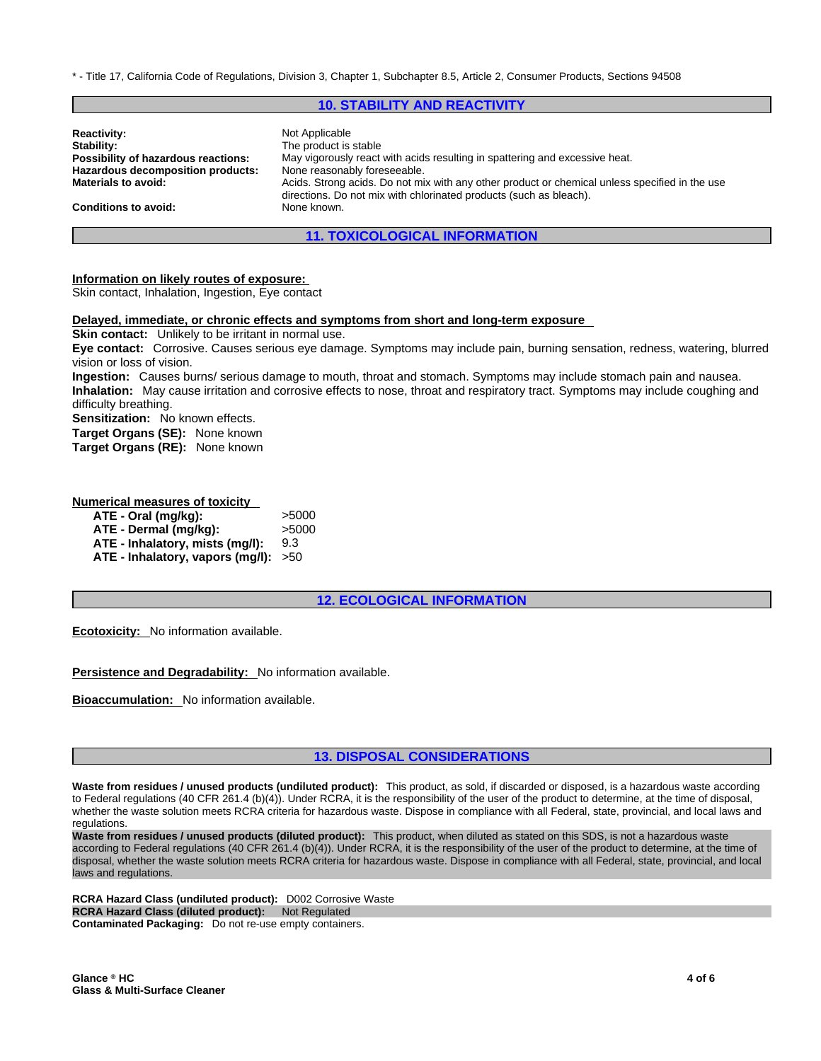\* - Title 17, California Code of Regulations, Division 3, Chapter 1, Subchapter 8.5, Article 2, Consumer Products, Sections 94508

## **10. STABILITY AND REACTIVITY**

| <b>Reactivity:</b>                  | Not Applicable                                                                                 |
|-------------------------------------|------------------------------------------------------------------------------------------------|
| Stability:                          | The product is stable                                                                          |
| Possibility of hazardous reactions: | May vigorously react with acids resulting in spattering and excessive heat.                    |
| Hazardous decomposition products:   | None reasonably foreseeable.                                                                   |
| <b>Materials to avoid:</b>          | Acids. Strong acids. Do not mix with any other product or chemical unless specified in the use |
| <b>Conditions to avoid:</b>         | directions. Do not mix with chlorinated products (such as bleach).<br>None known.              |

# **11. TOXICOLOGICAL INFORMATION**

#### **Information on likely routes of exposure:**

Skin contact, Inhalation, Ingestion, Eye contact

#### **Delayed, immediate, or chronic effects and symptoms from short and long-term exposure**

**Skin contact:** Unlikely to be irritant in normal use.

**Eye contact:** Corrosive. Causes serious eye damage. Symptoms may include pain, burning sensation, redness, watering, blurred vision or loss of vision.

**Ingestion:** Causes burns/ serious damage to mouth, throat and stomach. Symptoms may include stomach pain and nausea. **Inhalation:** May cause irritation and corrosive effects to nose, throat and respiratory tract. Symptoms may include coughing and difficulty breathing.

**Sensitization:** No known effects. **Target Organs (SE):** None known

**Target Organs (RE):** None known

# **Numerical measures of toxicity**

| ATE - Oral (mg/kg):                    | >5000 |
|----------------------------------------|-------|
| ATE - Dermal (mg/kg):                  | >5000 |
| ATE - Inhalatory, mists (mg/l):        | 9.3   |
| ATE - Inhalatory, vapors (mg/l): $>50$ |       |

**12. ECOLOGICAL INFORMATION**

**Ecotoxicity:** No information available.

**Persistence and Degradability:** No information available.

**Bioaccumulation:** No information available.

# **13. DISPOSAL CONSIDERATIONS**

**Waste from residues / unused products (undiluted product):** This product, as sold, if discarded or disposed, is a hazardous waste according to Federal regulations (40 CFR 261.4 (b)(4)). Under RCRA, it is the responsibility of the user of the product to determine, at the time of disposal, whether the waste solution meets RCRA criteria for hazardous waste. Dispose in compliance with all Federal, state, provincial, and local laws and regulations.

**Waste from residues / unused products (diluted product):** This product, when diluted as stated on this SDS, is not a hazardous waste according to Federal regulations (40 CFR 261.4 (b)(4)). Under RCRA, it is the responsibility of the user of the product to determine, at the time of disposal, whether the waste solution meets RCRA criteria for hazardous waste. Dispose in compliance with all Federal, state, provincial, and local laws and regulations.

**RCRA Hazard Class (undiluted product):** D002 Corrosive Waste **RCRA Hazard Class (diluted product): Not Regulated Contaminated Packaging:** Do not re-use empty containers.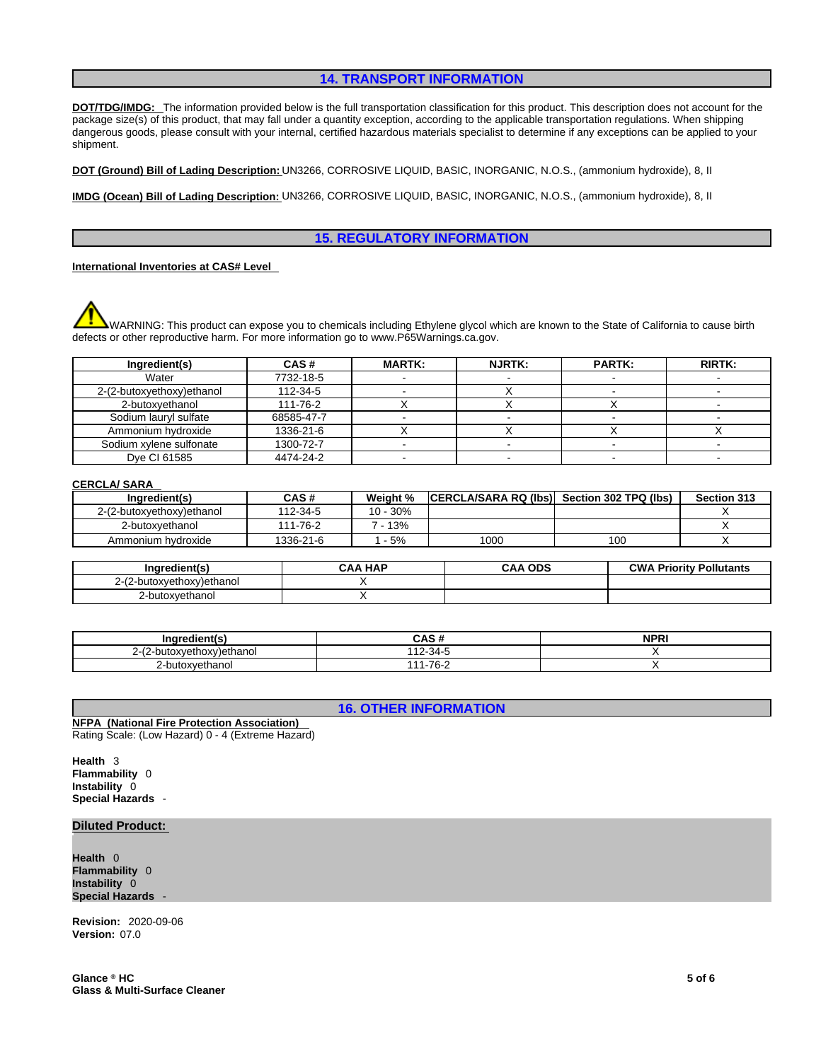# **14. TRANSPORT INFORMATION**

**DOT/TDG/IMDG:** The information provided below is the full transportation classification for this product. This description does not account for the package size(s) of this product, that may fall under a quantity exception, according to the applicable transportation regulations. When shipping dangerous goods, please consult with your internal, certified hazardous materials specialist to determine if any exceptions can be applied to your shipment.

**DOT (Ground) Bill of Lading Description:** UN3266, CORROSIVE LIQUID, BASIC, INORGANIC, N.O.S., (ammonium hydroxide), 8, II

**IMDG (Ocean) Bill of Lading Description:** UN3266, CORROSIVE LIQUID, BASIC, INORGANIC, N.O.S., (ammonium hydroxide), 8, II

# **15. REGULATORY INFORMATION**

**International Inventories at CAS# Level** 

WARNING: This product can expose you to chemicals including Ethylene glycol which are known to the State of California to cause birth defects or other reproductive harm. For more information go to www.P65Warnings.ca.gov.

| Ingredient(s)             | CAS#       | <b>MARTK:</b> | <b>NJRTK:</b> | <b>PARTK:</b> | <b>RIRTK:</b> |
|---------------------------|------------|---------------|---------------|---------------|---------------|
| Water                     | 7732-18-5  |               |               |               |               |
| 2-(2-butoxyethoxy)ethanol | 112-34-5   |               |               |               |               |
| 2-butoxvethanol           | 111-76-2   |               |               |               |               |
| Sodium lauryl sulfate     | 68585-47-7 |               |               |               |               |
| Ammonium hydroxide        | 1336-21-6  |               |               |               |               |
| Sodium xylene sulfonate   | 1300-72-7  |               |               |               |               |
| Dve CI 61585              | 4474-24-2  |               |               |               |               |

#### **CERCLA/ SARA**

| Inaredient(s)             | CAS #     | Weight % | <b>CERCLA/SARA RQ (Ibs)</b> | Section 302 TPQ (lbs) | Section 313 |
|---------------------------|-----------|----------|-----------------------------|-----------------------|-------------|
| 2-(2-butoxyethoxy)ethanol | 112-34-5  | 10 - 30% |                             |                       |             |
| 2-butoxyethanol           | 111-76-2  | 13%      |                             |                       |             |
| Ammonium hvdroxide        | 1336-21-6 | $-5%$    | 1000                        | 100                   |             |

| Ingredient(s)         | . HAP<br>۰AA | <b>ODS</b><br>$\mathbf{a}$ | <b>CWA Priority Pollutants</b> |
|-----------------------|--------------|----------------------------|--------------------------------|
| -butoxvethoxv)ethanol |              |                            |                                |
| utoxyethanol          |              |                            |                                |

| $ -$                       | <b>CAC</b> 4<br>CAS 1          | NPR <sup>'</sup> |
|----------------------------|--------------------------------|------------------|
| -butoxvethoxv)ethanol<br>_ | $7.34 -$<br>$\overline{A}$<br> |                  |
| butoxyethanol              | 1-76-2<br>$\overline{A}$       |                  |

**16. OTHER INFORMATION**

**NFPA (National Fire Protection Association)**  Rating Scale: (Low Hazard) 0 - 4 (Extreme Hazard)

**Health** 3 **Flammability** 0 **Instability** 0 **Special Hazards** -

### **Diluted Product:**

**Health** 0 **Flammability** 0 **Instability** 0 **Special Hazards** -

**Revision:** 2020-09-06 **Version:** 07.0